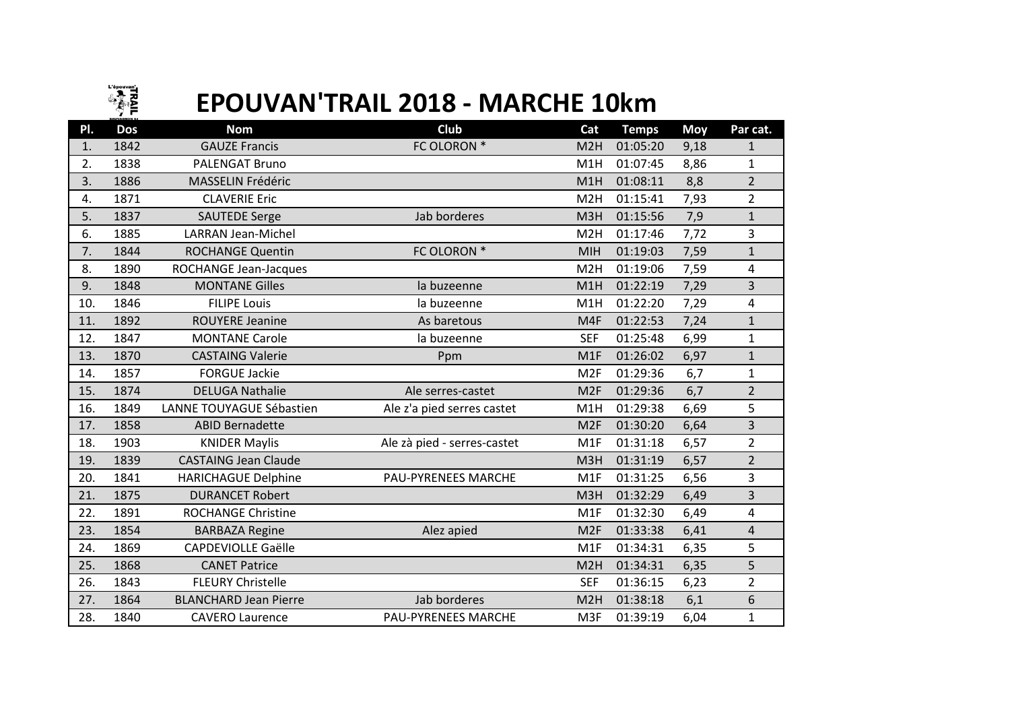

## **EPOUVAN'TRAIL 2018 - MARCHE 10km**

| PI. | <b>Dos</b> | <b>Nom</b>                   | Club                        | Cat              | <b>Temps</b> | <b>Moy</b> | Par cat.       |
|-----|------------|------------------------------|-----------------------------|------------------|--------------|------------|----------------|
| 1.  | 1842       | <b>GAUZE Francis</b>         | FC OLORON *                 | M2H              | 01:05:20     | 9,18       | $\mathbf{1}$   |
| 2.  | 1838       | PALENGAT Bruno               |                             | M <sub>1</sub> H | 01:07:45     | 8,86       | $\mathbf{1}$   |
| 3.  | 1886       | MASSELIN Frédéric            |                             | M1H              | 01:08:11     | 8,8        | $\overline{2}$ |
| 4.  | 1871       | <b>CLAVERIE Eric</b>         |                             | M <sub>2</sub> H | 01:15:41     | 7,93       | $\overline{2}$ |
| 5.  | 1837       | <b>SAUTEDE Serge</b>         | Jab borderes                | M3H              | 01:15:56     | 7,9        | $\mathbf{1}$   |
| 6.  | 1885       | <b>LARRAN Jean-Michel</b>    |                             | M <sub>2</sub> H | 01:17:46     | 7,72       | 3              |
| 7.  | 1844       | <b>ROCHANGE Quentin</b>      | FC OLORON *                 | <b>MIH</b>       | 01:19:03     | 7,59       | $\mathbf{1}$   |
| 8.  | 1890       | ROCHANGE Jean-Jacques        |                             | M <sub>2</sub> H | 01:19:06     | 7,59       | 4              |
| 9.  | 1848       | <b>MONTANE Gilles</b>        | la buzeenne                 | M1H              | 01:22:19     | 7,29       | 3              |
| 10. | 1846       | <b>FILIPE Louis</b>          | la buzeenne                 | M1H              | 01:22:20     | 7,29       | 4              |
| 11. | 1892       | <b>ROUYERE Jeanine</b>       | As baretous                 | M4F              | 01:22:53     | 7,24       | $\mathbf{1}$   |
| 12. | 1847       | <b>MONTANE Carole</b>        | la buzeenne                 | <b>SEF</b>       | 01:25:48     | 6,99       | $\mathbf{1}$   |
| 13. | 1870       | <b>CASTAING Valerie</b>      | Ppm                         | M <sub>1</sub> F | 01:26:02     | 6,97       | $\mathbf{1}$   |
| 14. | 1857       | <b>FORGUE Jackie</b>         |                             | M <sub>2F</sub>  | 01:29:36     | 6,7        | $\mathbf{1}$   |
| 15. | 1874       | <b>DELUGA Nathalie</b>       | Ale serres-castet           | M <sub>2F</sub>  | 01:29:36     | 6,7        | $\overline{2}$ |
| 16. | 1849       | LANNE TOUYAGUE Sébastien     | Ale z'a pied serres castet  | M1H              | 01:29:38     | 6,69       | 5              |
| 17. | 1858       | <b>ABID Bernadette</b>       |                             | M <sub>2F</sub>  | 01:30:20     | 6,64       | 3              |
| 18. | 1903       | <b>KNIDER Maylis</b>         | Ale zà pied - serres-castet | M <sub>1</sub> F | 01:31:18     | 6,57       | $\overline{2}$ |
| 19. | 1839       | <b>CASTAING Jean Claude</b>  |                             | M <sub>3</sub> H | 01:31:19     | 6,57       | $\overline{2}$ |
| 20. | 1841       | <b>HARICHAGUE Delphine</b>   | PAU-PYRENEES MARCHE         | M1F              | 01:31:25     | 6,56       | 3              |
| 21. | 1875       | <b>DURANCET Robert</b>       |                             | M <sub>3</sub> H | 01:32:29     | 6,49       | 3              |
| 22. | 1891       | <b>ROCHANGE Christine</b>    |                             | M1F              | 01:32:30     | 6,49       | 4              |
| 23. | 1854       | <b>BARBAZA Regine</b>        | Alez apied                  | M <sub>2F</sub>  | 01:33:38     | 6,41       | 4              |
| 24. | 1869       | <b>CAPDEVIOLLE Gaëlle</b>    |                             | M1F              | 01:34:31     | 6,35       | 5              |
| 25. | 1868       | <b>CANET Patrice</b>         |                             | M <sub>2</sub> H | 01:34:31     | 6,35       | 5              |
| 26. | 1843       | <b>FLEURY Christelle</b>     |                             | <b>SEF</b>       | 01:36:15     | 6,23       | $\overline{2}$ |
| 27. | 1864       | <b>BLANCHARD Jean Pierre</b> | Jab borderes                | M <sub>2</sub> H | 01:38:18     | 6,1        | 6              |
| 28. | 1840       | <b>CAVERO Laurence</b>       | PAU-PYRENEES MARCHE         | M3F              | 01:39:19     | 6,04       | $\mathbf{1}$   |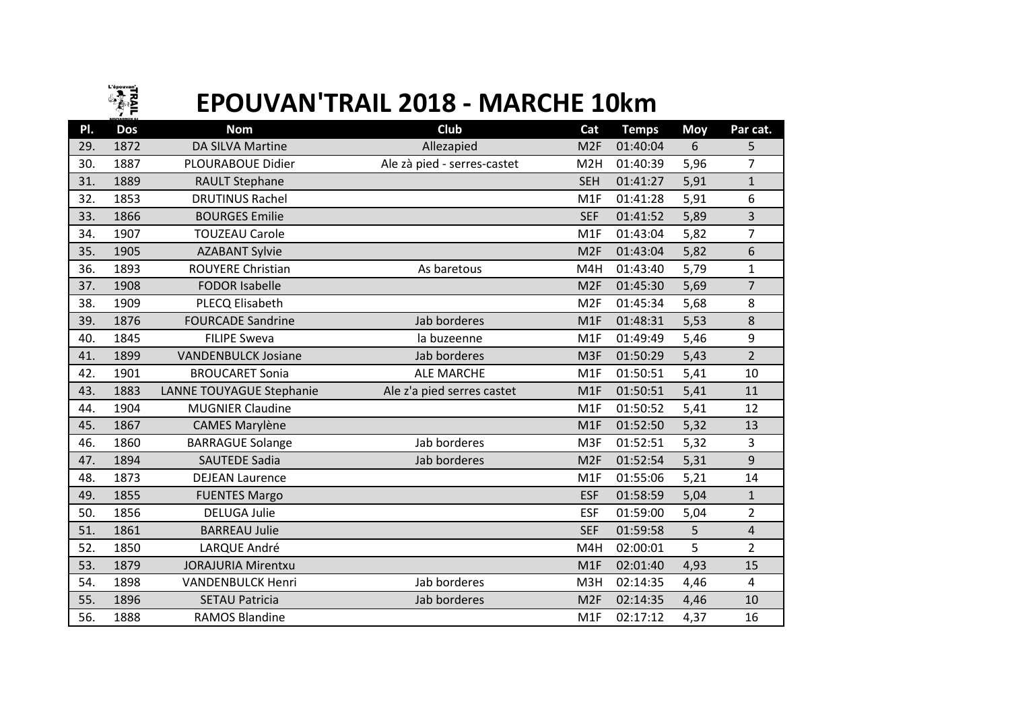

## **EPOUVAN'TRAIL 2018 - MARCHE 10km**

| PI. | <b>Dos</b> | <b>Nom</b>                 | Club                        | Cat              | <b>Temps</b> | <b>Moy</b> | Par cat.                |
|-----|------------|----------------------------|-----------------------------|------------------|--------------|------------|-------------------------|
| 29. | 1872       | <b>DA SILVA Martine</b>    | Allezapied                  | M <sub>2F</sub>  | 01:40:04     | 6          | 5                       |
| 30. | 1887       | <b>PLOURABOUE Didier</b>   | Ale zà pied - serres-castet | M <sub>2</sub> H | 01:40:39     | 5,96       | $\overline{7}$          |
| 31. | 1889       | <b>RAULT Stephane</b>      |                             | <b>SEH</b>       | 01:41:27     | 5,91       | $\mathbf{1}$            |
| 32. | 1853       | <b>DRUTINUS Rachel</b>     |                             | M1F              | 01:41:28     | 5,91       | 6                       |
| 33. | 1866       | <b>BOURGES Emilie</b>      |                             | <b>SEF</b>       | 01:41:52     | 5,89       | 3                       |
| 34. | 1907       | <b>TOUZEAU Carole</b>      |                             | M <sub>1</sub> F | 01:43:04     | 5,82       | $\overline{7}$          |
| 35. | 1905       | <b>AZABANT Sylvie</b>      |                             | M <sub>2F</sub>  | 01:43:04     | 5,82       | 6                       |
| 36. | 1893       | <b>ROUYERE Christian</b>   | As baretous                 | M4H              | 01:43:40     | 5,79       | $\mathbf 1$             |
| 37. | 1908       | <b>FODOR Isabelle</b>      |                             | M <sub>2F</sub>  | 01:45:30     | 5,69       | $\overline{7}$          |
| 38. | 1909       | PLECQ Elisabeth            |                             | M <sub>2F</sub>  | 01:45:34     | 5,68       | 8                       |
| 39. | 1876       | <b>FOURCADE Sandrine</b>   | Jab borderes                | M <sub>1</sub> F | 01:48:31     | 5,53       | 8                       |
| 40. | 1845       | <b>FILIPE Sweva</b>        | la buzeenne                 | M1F              | 01:49:49     | 5,46       | 9                       |
| 41. | 1899       | <b>VANDENBULCK Josiane</b> | Jab borderes                | M3F              | 01:50:29     | 5,43       | $\overline{2}$          |
| 42. | 1901       | <b>BROUCARET Sonia</b>     | <b>ALE MARCHE</b>           | M1F              | 01:50:51     | 5,41       | 10                      |
| 43. | 1883       | LANNE TOUYAGUE Stephanie   | Ale z'a pied serres castet  | M1F              | 01:50:51     | 5,41       | 11                      |
| 44. | 1904       | <b>MUGNIER Claudine</b>    |                             | M1F              | 01:50:52     | 5,41       | 12                      |
| 45. | 1867       | <b>CAMES Marylène</b>      |                             | M1F              | 01:52:50     | 5,32       | 13                      |
| 46. | 1860       | <b>BARRAGUE Solange</b>    | Jab borderes                | M3F              | 01:52:51     | 5,32       | 3                       |
| 47. | 1894       | <b>SAUTEDE Sadia</b>       | Jab borderes                | M <sub>2F</sub>  | 01:52:54     | 5,31       | 9                       |
| 48. | 1873       | <b>DEJEAN Laurence</b>     |                             | M1F              | 01:55:06     | 5,21       | 14                      |
| 49. | 1855       | <b>FUENTES Margo</b>       |                             | <b>ESF</b>       | 01:58:59     | 5,04       | $\mathbf{1}$            |
| 50. | 1856       | <b>DELUGA Julie</b>        |                             | <b>ESF</b>       | 01:59:00     | 5,04       | $\overline{2}$          |
| 51. | 1861       | <b>BARREAU Julie</b>       |                             | <b>SEF</b>       | 01:59:58     | 5          | $\overline{\mathbf{4}}$ |
| 52. | 1850       | LARQUE André               |                             | M4H              | 02:00:01     | 5          | $\overline{2}$          |
| 53. | 1879       | <b>JORAJURIA Mirentxu</b>  |                             | M1F              | 02:01:40     | 4,93       | 15                      |
| 54. | 1898       | <b>VANDENBULCK Henri</b>   | Jab borderes                | M <sub>3</sub> H | 02:14:35     | 4,46       | 4                       |
| 55. | 1896       | <b>SETAU Patricia</b>      | Jab borderes                | M <sub>2F</sub>  | 02:14:35     | 4,46       | 10                      |
| 56. | 1888       | <b>RAMOS Blandine</b>      |                             | M1F              | 02:17:12     | 4,37       | 16                      |